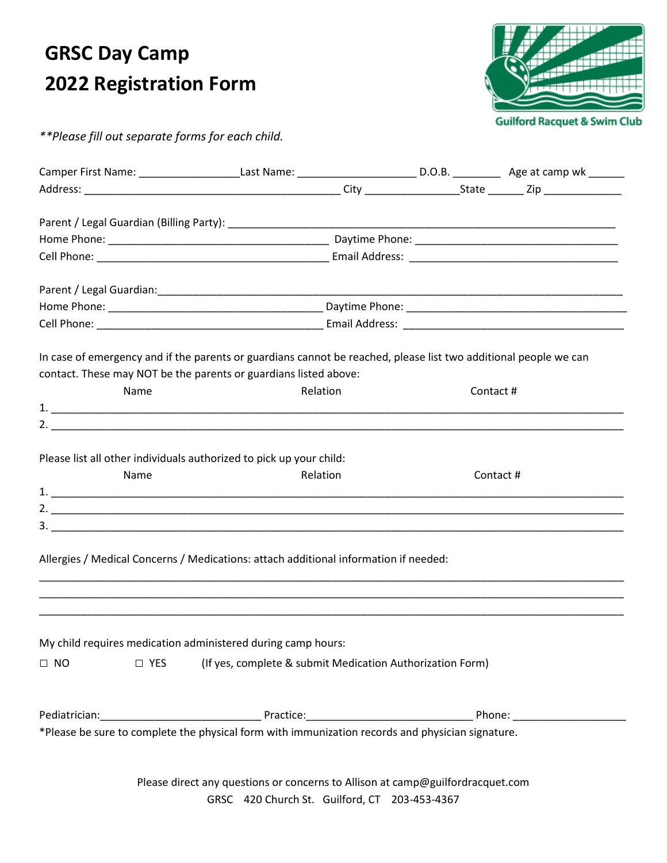## **GRSC Day Camp 2022 Registration Form**



*\*\*Please fill out separate forms for each child.* 

|           | Camper First Name: ________________________Last Name: ______________________________D.O.B. ___________________ Age at camp wk _______                                                                                         |  |          |  |  |  |
|-----------|-------------------------------------------------------------------------------------------------------------------------------------------------------------------------------------------------------------------------------|--|----------|--|--|--|
|           |                                                                                                                                                                                                                               |  |          |  |  |  |
|           |                                                                                                                                                                                                                               |  |          |  |  |  |
|           |                                                                                                                                                                                                                               |  |          |  |  |  |
|           |                                                                                                                                                                                                                               |  |          |  |  |  |
|           |                                                                                                                                                                                                                               |  |          |  |  |  |
|           |                                                                                                                                                                                                                               |  |          |  |  |  |
|           |                                                                                                                                                                                                                               |  |          |  |  |  |
|           |                                                                                                                                                                                                                               |  |          |  |  |  |
|           |                                                                                                                                                                                                                               |  |          |  |  |  |
|           | In case of emergency and if the parents or guardians cannot be reached, please list two additional people we can                                                                                                              |  |          |  |  |  |
|           | contact. These may NOT be the parents or guardians listed above:                                                                                                                                                              |  |          |  |  |  |
| Name      | Relation                                                                                                                                                                                                                      |  | Contact# |  |  |  |
|           |                                                                                                                                                                                                                               |  |          |  |  |  |
|           |                                                                                                                                                                                                                               |  |          |  |  |  |
|           |                                                                                                                                                                                                                               |  |          |  |  |  |
|           | Please list all other individuals authorized to pick up your child:                                                                                                                                                           |  |          |  |  |  |
| Name      | Relation                                                                                                                                                                                                                      |  | Contact# |  |  |  |
|           |                                                                                                                                                                                                                               |  |          |  |  |  |
|           |                                                                                                                                                                                                                               |  |          |  |  |  |
|           |                                                                                                                                                                                                                               |  |          |  |  |  |
|           |                                                                                                                                                                                                                               |  |          |  |  |  |
|           | Allergies / Medical Concerns / Medications: attach additional information if needed:                                                                                                                                          |  |          |  |  |  |
|           |                                                                                                                                                                                                                               |  |          |  |  |  |
|           |                                                                                                                                                                                                                               |  |          |  |  |  |
|           |                                                                                                                                                                                                                               |  |          |  |  |  |
|           | My child requires medication administered during camp hours:                                                                                                                                                                  |  |          |  |  |  |
| $\Box$ NO | $\Box$ YES (If yes, complete & submit Medication Authorization Form)                                                                                                                                                          |  |          |  |  |  |
|           |                                                                                                                                                                                                                               |  |          |  |  |  |
|           |                                                                                                                                                                                                                               |  |          |  |  |  |
|           | Pediatrician: Practice: Practice: Practice: Practice: Phone: Phone: Phone: Phone: Phone: Phone: Phone: Phone: Phone: Phone: Phone: Phone: Phone: Phone: Phone: Phone: Phone: Phone: Phone: Phone: Phone: Phone: Phone: Phone: |  |          |  |  |  |
|           |                                                                                                                                                                                                                               |  |          |  |  |  |
|           |                                                                                                                                                                                                                               |  |          |  |  |  |
|           |                                                                                                                                                                                                                               |  |          |  |  |  |

Please direct any questions or concerns to Allison at camp@guilfordracquet.com GRSC 420 Church St. Guilford, CT 203-453-4367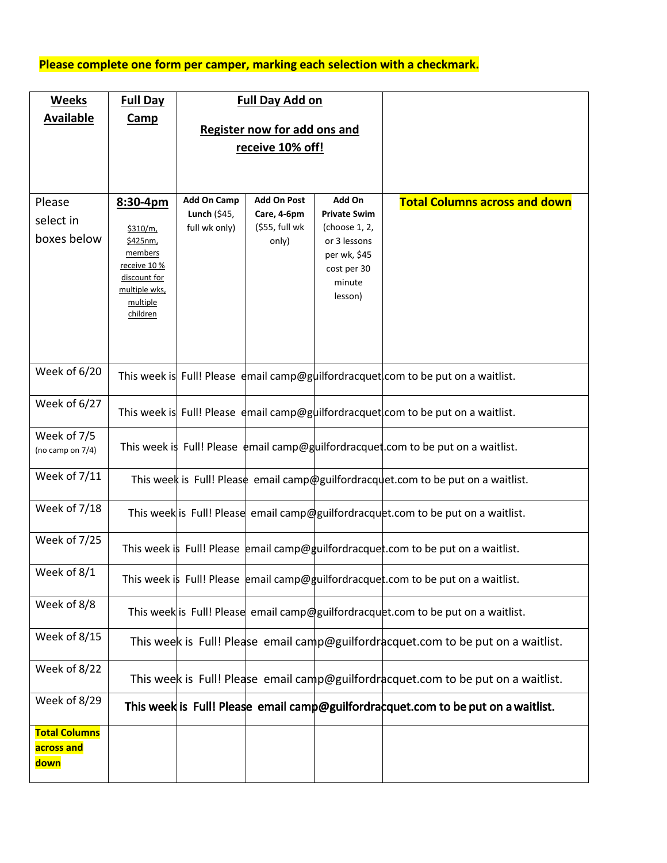## **Please complete one form per camper, marking each selection with a checkmark.**

| <b>Weeks</b>                               | <b>Full Day</b>                                                                                                      |                                                     | <b>Full Day Add on</b>                                       |                                                                                                                    |                                                                                         |
|--------------------------------------------|----------------------------------------------------------------------------------------------------------------------|-----------------------------------------------------|--------------------------------------------------------------|--------------------------------------------------------------------------------------------------------------------|-----------------------------------------------------------------------------------------|
| <b>Available</b>                           | <b>Camp</b>                                                                                                          | <b>Register now for add ons and</b>                 |                                                              |                                                                                                                    |                                                                                         |
|                                            |                                                                                                                      | receive 10% off!                                    |                                                              |                                                                                                                    |                                                                                         |
|                                            |                                                                                                                      |                                                     |                                                              |                                                                                                                    |                                                                                         |
|                                            |                                                                                                                      |                                                     |                                                              |                                                                                                                    |                                                                                         |
| Please<br>select in<br>boxes below         | 8:30-4pm<br>\$310/m,<br>\$425nm,<br>members<br>receive 10 %<br>discount for<br>multiple wks,<br>multiple<br>children | <b>Add On Camp</b><br>Lunch (\$45,<br>full wk only) | <b>Add On Post</b><br>Care, 4-6pm<br>(\$55, full wk<br>only) | Add On<br><b>Private Swim</b><br>(choose 1, 2,<br>or 3 lessons<br>per wk, \$45<br>cost per 30<br>minute<br>lesson) | <b>Total Columns across and down</b>                                                    |
| Week of 6/20                               |                                                                                                                      |                                                     |                                                              |                                                                                                                    | This week is Full! Please dmail camp@guilfordracquet com to be put on a waitlist.       |
| Week of 6/27                               |                                                                                                                      |                                                     |                                                              |                                                                                                                    | This week is Full! Please dmail camp@guilfordracquet com to be put on a waitlist.       |
| Week of 7/5<br>(no camp on 7/4)            |                                                                                                                      |                                                     |                                                              |                                                                                                                    | This week is Full! Please $\phi$ mail camp@guilfordracquet.com to be put on a waitlist. |
| Week of 7/11                               |                                                                                                                      |                                                     |                                                              |                                                                                                                    | This week is Full! Please email camp@guilfordracquet.com to be put on a waitlist.       |
| Week of 7/18                               |                                                                                                                      |                                                     |                                                              |                                                                                                                    | This week is Full! Please email camp@guilfordracquet.com to be put on a waitlist.       |
| <b>Week of 7/25</b>                        |                                                                                                                      |                                                     |                                                              |                                                                                                                    | This week is Full! Please email camp@guilfordracquet.com to be put on a waitlist.       |
| Week of 8/1                                |                                                                                                                      |                                                     |                                                              |                                                                                                                    | This week is Full! Please email camp@guilfordracquet.com to be put on a waitlist.       |
| Week of 8/8                                |                                                                                                                      |                                                     |                                                              |                                                                                                                    | This week is Full! Please email camp@guilfordracquet.com to be put on a waitlist.       |
| Week of 8/15                               |                                                                                                                      |                                                     |                                                              |                                                                                                                    | This week is Full! Please email camp@guilfordracquet.com to be put on a waitlist.       |
| Week of 8/22                               |                                                                                                                      |                                                     |                                                              |                                                                                                                    | This week is Full! Please email camp@guilfordracquet.com to be put on a waitlist.       |
| Week of 8/29                               |                                                                                                                      |                                                     |                                                              |                                                                                                                    | This week is Full! Please email camp@guilfordracquet.com to be put on a waitlist.       |
| <b>Total Columns</b><br>across and<br>down |                                                                                                                      |                                                     |                                                              |                                                                                                                    |                                                                                         |